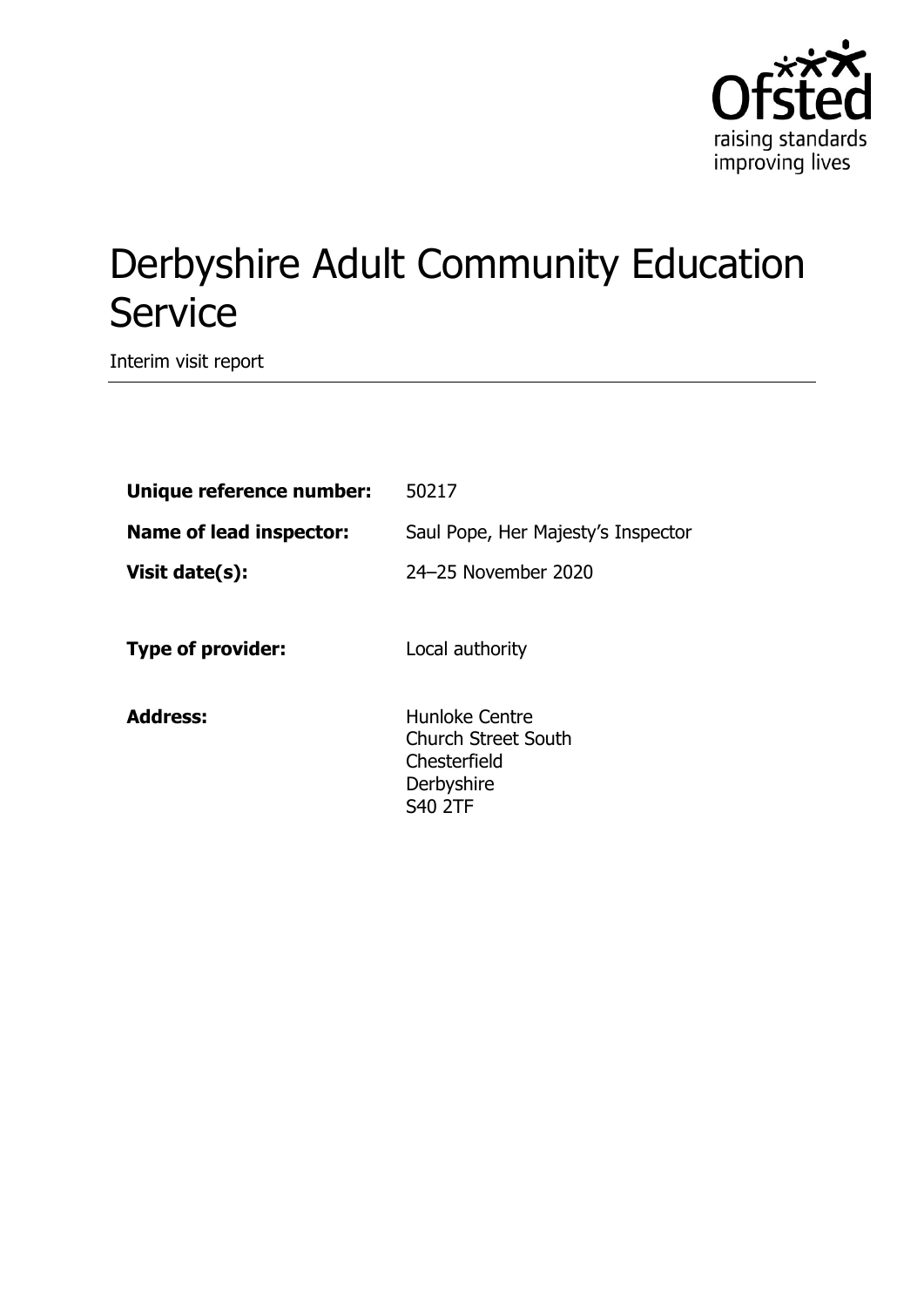

# Derbyshire Adult Community Education **Service**

Interim visit report

| Unique reference number:       | 50217                                                                                        |
|--------------------------------|----------------------------------------------------------------------------------------------|
| <b>Name of lead inspector:</b> | Saul Pope, Her Majesty's Inspector                                                           |
| Visit date(s):                 | 24-25 November 2020                                                                          |
| <b>Type of provider:</b>       | Local authority                                                                              |
| <b>Address:</b>                | Hunloke Centre<br><b>Church Street South</b><br>Chesterfield<br>Derbyshire<br><b>S40 2TF</b> |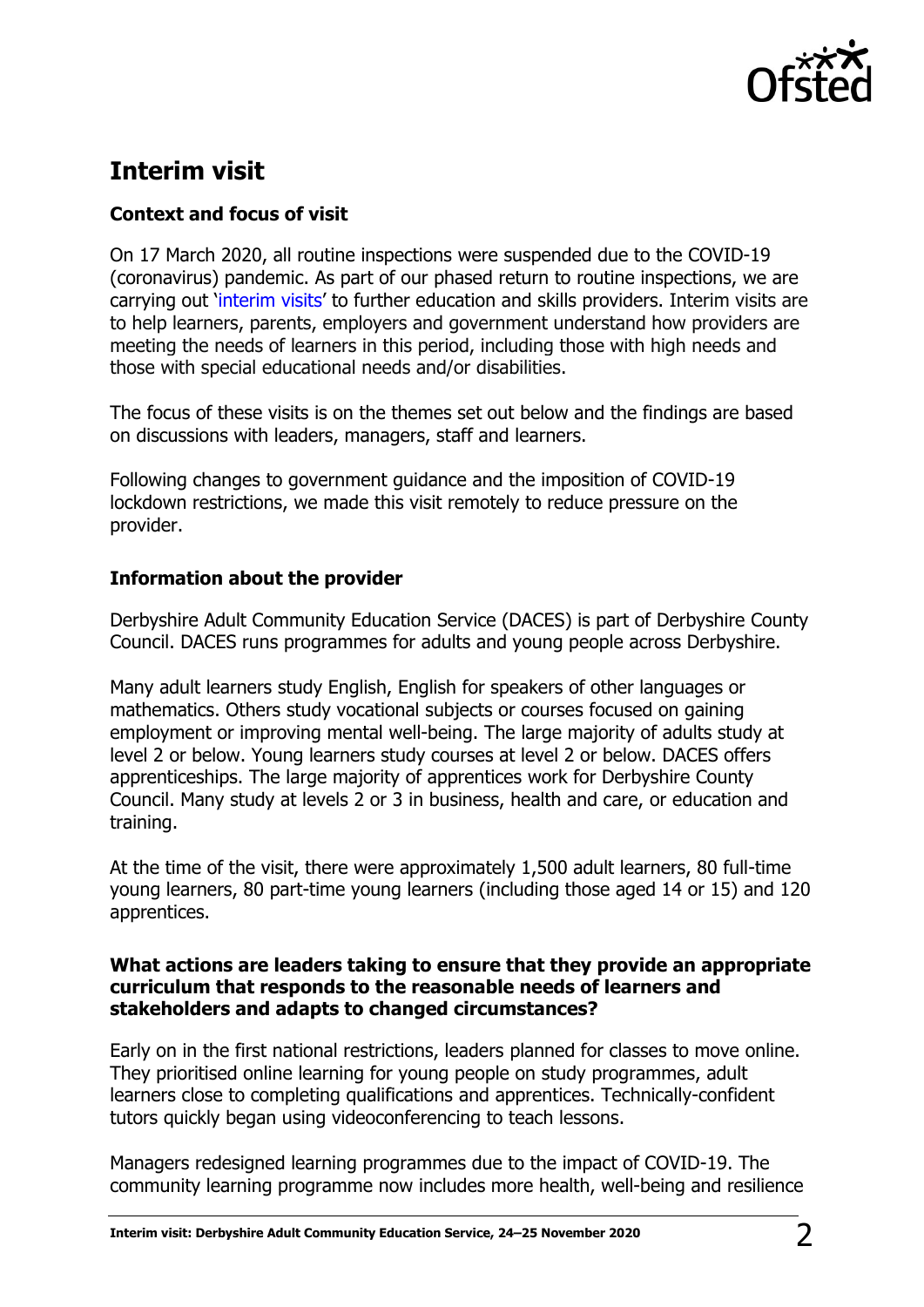

# **Interim visit**

# **Context and focus of visit**

On 17 March 2020, all routine inspections were suspended due to the COVID-19 (coronavirus) pandemic. As part of our phased return to routine inspections, we are carrying out '[interim visits](https://www.gov.uk/guidance/interim-phase-further-education-and-skills-providers#interim-visits)' to further education and skills providers. Interim visits are to help learners, parents, employers and government understand how providers are meeting the needs of learners in this period, including those with high needs and those with special educational needs and/or disabilities.

The focus of these visits is on the themes set out below and the findings are based on discussions with leaders, managers, staff and learners.

Following changes to government guidance and the imposition of COVID-19 lockdown restrictions, we made this visit remotely to reduce pressure on the provider.

## **Information about the provider**

Derbyshire Adult Community Education Service (DACES) is part of Derbyshire County Council. DACES runs programmes for adults and young people across Derbyshire.

Many adult learners study English, English for speakers of other languages or mathematics. Others study vocational subjects or courses focused on gaining employment or improving mental well-being. The large majority of adults study at level 2 or below. Young learners study courses at level 2 or below. DACES offers apprenticeships. The large majority of apprentices work for Derbyshire County Council. Many study at levels 2 or 3 in business, health and care, or education and training.

At the time of the visit, there were approximately 1,500 adult learners, 80 full-time young learners, 80 part-time young learners (including those aged 14 or 15) and 120 apprentices.

### **What actions are leaders taking to ensure that they provide an appropriate curriculum that responds to the reasonable needs of learners and stakeholders and adapts to changed circumstances?**

Early on in the first national restrictions, leaders planned for classes to move online. They prioritised online learning for young people on study programmes, adult learners close to completing qualifications and apprentices. Technically-confident tutors quickly began using videoconferencing to teach lessons.

Managers redesigned learning programmes due to the impact of COVID-19. The community learning programme now includes more health, well-being and resilience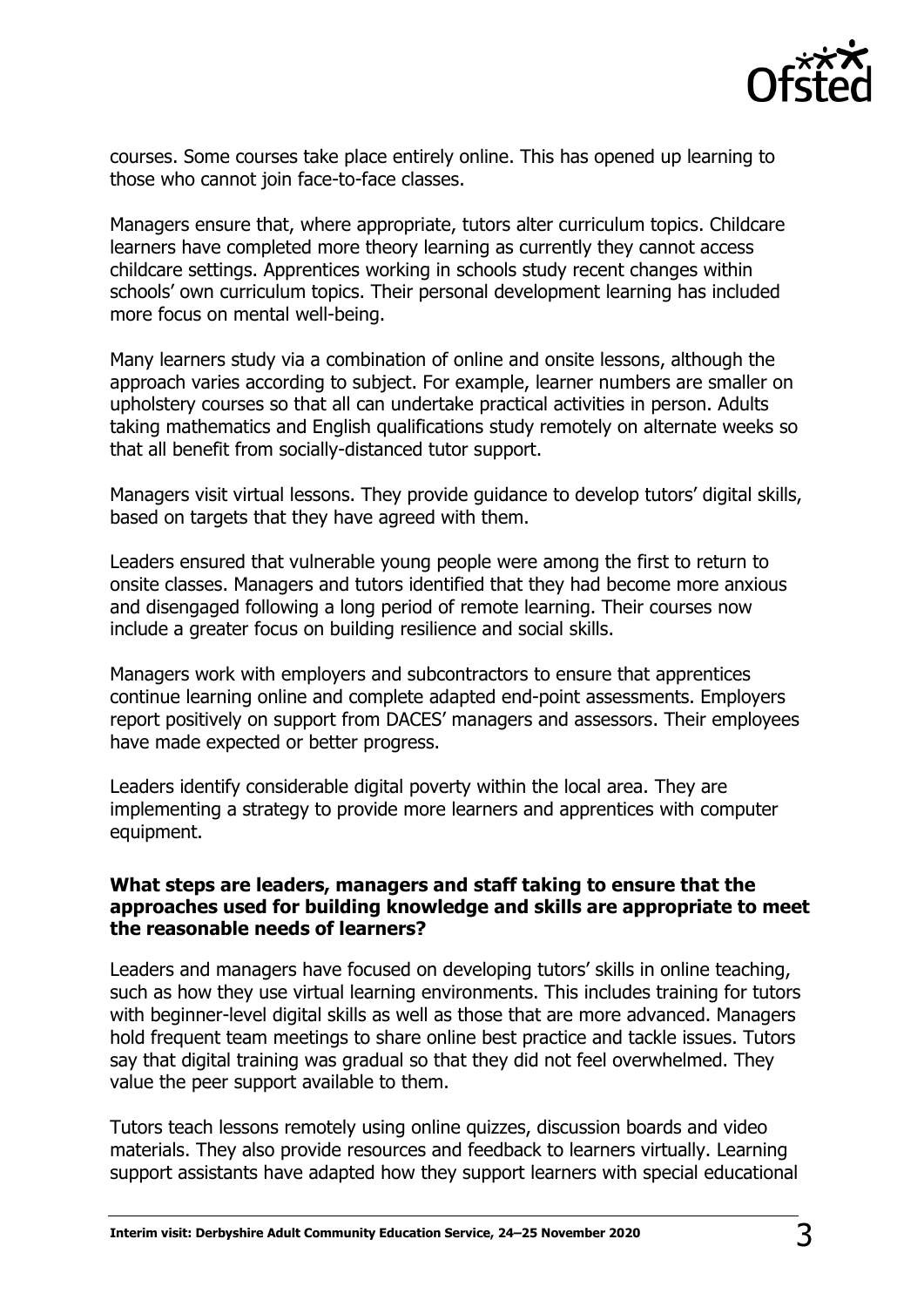

courses. Some courses take place entirely online. This has opened up learning to those who cannot join face-to-face classes.

Managers ensure that, where appropriate, tutors alter curriculum topics. Childcare learners have completed more theory learning as currently they cannot access childcare settings. Apprentices working in schools study recent changes within schools' own curriculum topics. Their personal development learning has included more focus on mental well-being.

Many learners study via a combination of online and onsite lessons, although the approach varies according to subject. For example, learner numbers are smaller on upholstery courses so that all can undertake practical activities in person. Adults taking mathematics and English qualifications study remotely on alternate weeks so that all benefit from socially-distanced tutor support.

Managers visit virtual lessons. They provide guidance to develop tutors' digital skills, based on targets that they have agreed with them.

Leaders ensured that vulnerable young people were among the first to return to onsite classes. Managers and tutors identified that they had become more anxious and disengaged following a long period of remote learning. Their courses now include a greater focus on building resilience and social skills.

Managers work with employers and subcontractors to ensure that apprentices continue learning online and complete adapted end-point assessments. Employers report positively on support from DACES' managers and assessors. Their employees have made expected or better progress.

Leaders identify considerable digital poverty within the local area. They are implementing a strategy to provide more learners and apprentices with computer equipment.

#### **What steps are leaders, managers and staff taking to ensure that the approaches used for building knowledge and skills are appropriate to meet the reasonable needs of learners?**

Leaders and managers have focused on developing tutors' skills in online teaching, such as how they use virtual learning environments. This includes training for tutors with beginner-level digital skills as well as those that are more advanced. Managers hold frequent team meetings to share online best practice and tackle issues. Tutors say that digital training was gradual so that they did not feel overwhelmed. They value the peer support available to them.

Tutors teach lessons remotely using online quizzes, discussion boards and video materials. They also provide resources and feedback to learners virtually. Learning support assistants have adapted how they support learners with special educational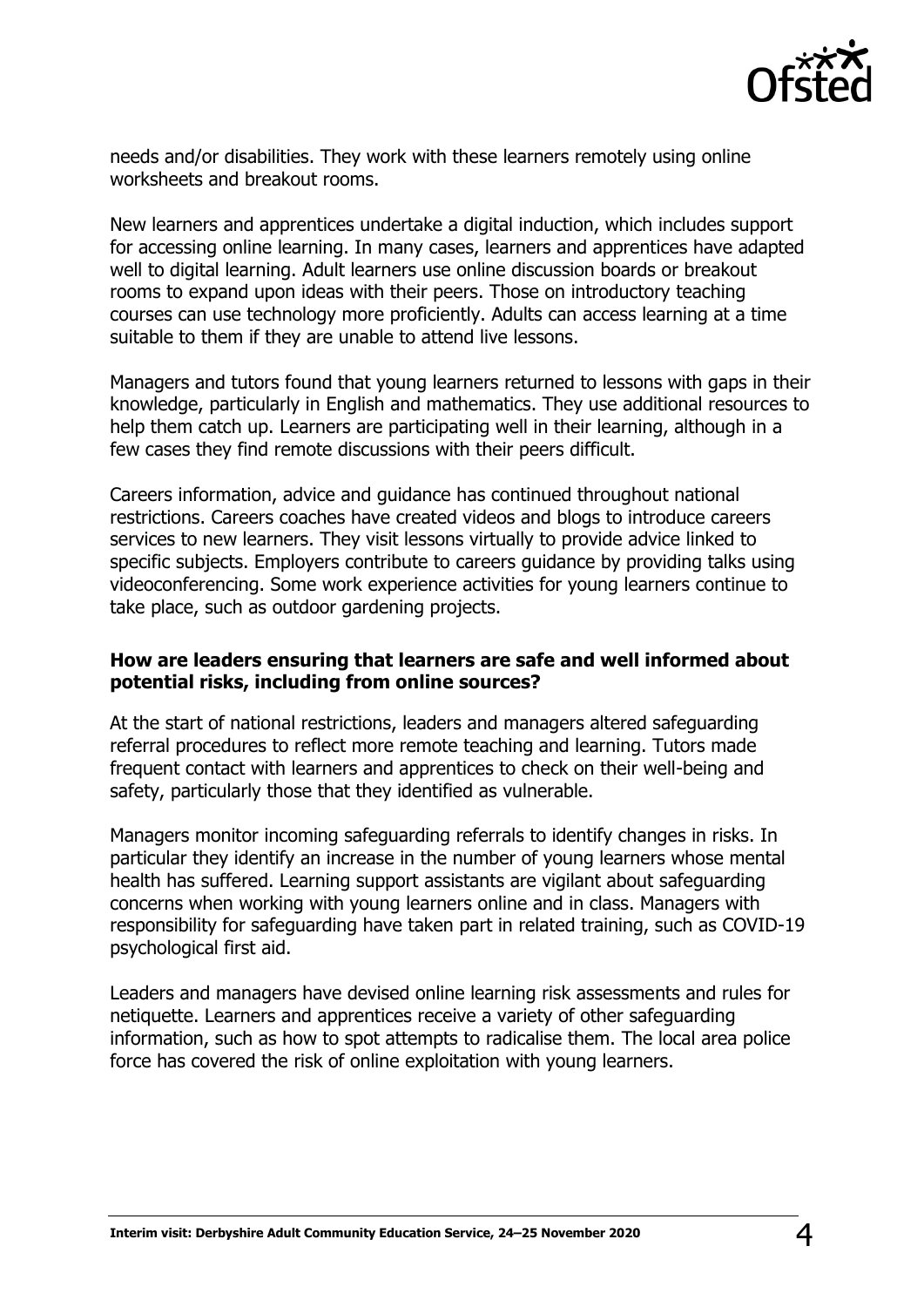

needs and/or disabilities. They work with these learners remotely using online worksheets and breakout rooms.

New learners and apprentices undertake a digital induction, which includes support for accessing online learning. In many cases, learners and apprentices have adapted well to digital learning. Adult learners use online discussion boards or breakout rooms to expand upon ideas with their peers. Those on introductory teaching courses can use technology more proficiently. Adults can access learning at a time suitable to them if they are unable to attend live lessons.

Managers and tutors found that young learners returned to lessons with gaps in their knowledge, particularly in English and mathematics. They use additional resources to help them catch up. Learners are participating well in their learning, although in a few cases they find remote discussions with their peers difficult.

Careers information, advice and guidance has continued throughout national restrictions. Careers coaches have created videos and blogs to introduce careers services to new learners. They visit lessons virtually to provide advice linked to specific subjects. Employers contribute to careers guidance by providing talks using videoconferencing. Some work experience activities for young learners continue to take place, such as outdoor gardening projects.

#### **How are leaders ensuring that learners are safe and well informed about potential risks, including from online sources?**

At the start of national restrictions, leaders and managers altered safeguarding referral procedures to reflect more remote teaching and learning. Tutors made frequent contact with learners and apprentices to check on their well-being and safety, particularly those that they identified as vulnerable.

Managers monitor incoming safeguarding referrals to identify changes in risks. In particular they identify an increase in the number of young learners whose mental health has suffered. Learning support assistants are vigilant about safeguarding concerns when working with young learners online and in class. Managers with responsibility for safeguarding have taken part in related training, such as COVID-19 psychological first aid.

Leaders and managers have devised online learning risk assessments and rules for netiquette. Learners and apprentices receive a variety of other safeguarding information, such as how to spot attempts to radicalise them. The local area police force has covered the risk of online exploitation with young learners.